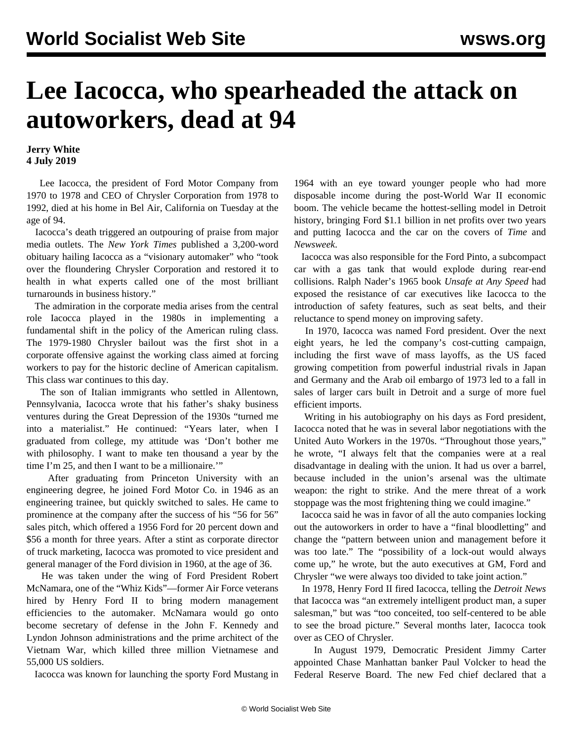## **Lee Iacocca, who spearheaded the attack on autoworkers, dead at 94**

## **Jerry White 4 July 2019**

 Lee Iacocca, the president of Ford Motor Company from 1970 to 1978 and CEO of Chrysler Corporation from 1978 to 1992, died at his home in Bel Air, California on Tuesday at the age of 94.

 Iacocca's death triggered an outpouring of praise from major media outlets. The *New York Times* published a 3,200-word obituary hailing Iacocca as a "visionary automaker" who "took over the floundering Chrysler Corporation and restored it to health in what experts called one of the most brilliant turnarounds in business history."

 The admiration in the corporate media arises from the central role Iacocca played in the 1980s in implementing a fundamental shift in the policy of the American ruling class. The 1979-1980 Chrysler bailout was the first shot in a corporate offensive against the working class aimed at forcing workers to pay for the historic decline of American capitalism. This class war continues to this day.

 The son of Italian immigrants who settled in Allentown, Pennsylvania, Iacocca wrote that his father's shaky business ventures during the Great Depression of the 1930s "turned me into a materialist." He continued: "Years later, when I graduated from college, my attitude was 'Don't bother me with philosophy. I want to make ten thousand a year by the time I'm 25, and then I want to be a millionaire."

 After graduating from Princeton University with an engineering degree, he joined Ford Motor Co. in 1946 as an engineering trainee, but quickly switched to sales. He came to prominence at the company after the success of his "56 for 56" sales pitch, which offered a 1956 Ford for 20 percent down and \$56 a month for three years. After a stint as corporate director of truck marketing, Iacocca was promoted to vice president and general manager of the Ford division in 1960, at the age of 36.

 He was taken under the wing of Ford President Robert McNamara, one of the "Whiz Kids"—former Air Force veterans hired by Henry Ford II to bring modern management efficiencies to the automaker. McNamara would go onto become secretary of defense in the John F. Kennedy and Lyndon Johnson administrations and the prime architect of the Vietnam War, which killed three million Vietnamese and 55,000 US soldiers.

Iacocca was known for launching the sporty Ford Mustang in

1964 with an eye toward younger people who had more disposable income during the post-World War II economic boom. The vehicle became the hottest-selling model in Detroit history, bringing Ford \$1.1 billion in net profits over two years and putting Iacocca and the car on the covers of *Time* and *Newsweek*.

 Iacocca was also responsible for the Ford Pinto, a subcompact car with a gas tank that would explode during rear-end collisions. Ralph Nader's 1965 book *Unsafe at Any Speed* had exposed the resistance of car executives like Iacocca to the introduction of safety features, such as seat belts, and their reluctance to spend money on improving safety.

 In 1970, Iacocca was named Ford president. Over the next eight years, he led the company's cost-cutting campaign, including the first wave of mass layoffs, as the US faced growing competition from powerful industrial rivals in Japan and Germany and the Arab oil embargo of 1973 led to a fall in sales of larger cars built in Detroit and a surge of more fuel efficient imports.

 Writing in his autobiography on his days as Ford president, Iacocca noted that he was in several labor negotiations with the United Auto Workers in the 1970s. "Throughout those years," he wrote, "I always felt that the companies were at a real disadvantage in dealing with the union. It had us over a barrel, because included in the union's arsenal was the ultimate weapon: the right to strike. And the mere threat of a work stoppage was the most frightening thing we could imagine."

 Iacocca said he was in favor of all the auto companies locking out the autoworkers in order to have a "final bloodletting" and change the "pattern between union and management before it was too late." The "possibility of a lock-out would always come up," he wrote, but the auto executives at GM, Ford and Chrysler "we were always too divided to take joint action."

 In 1978, Henry Ford II fired Iacocca, telling the *Detroit News* that Iacocca was "an extremely intelligent product man, a super salesman," but was "too conceited, too self-centered to be able to see the broad picture." Several months later, Iacocca took over as CEO of Chrysler.

 In August 1979, Democratic President Jimmy Carter appointed Chase Manhattan banker Paul Volcker to head the Federal Reserve Board. The new Fed chief declared that a